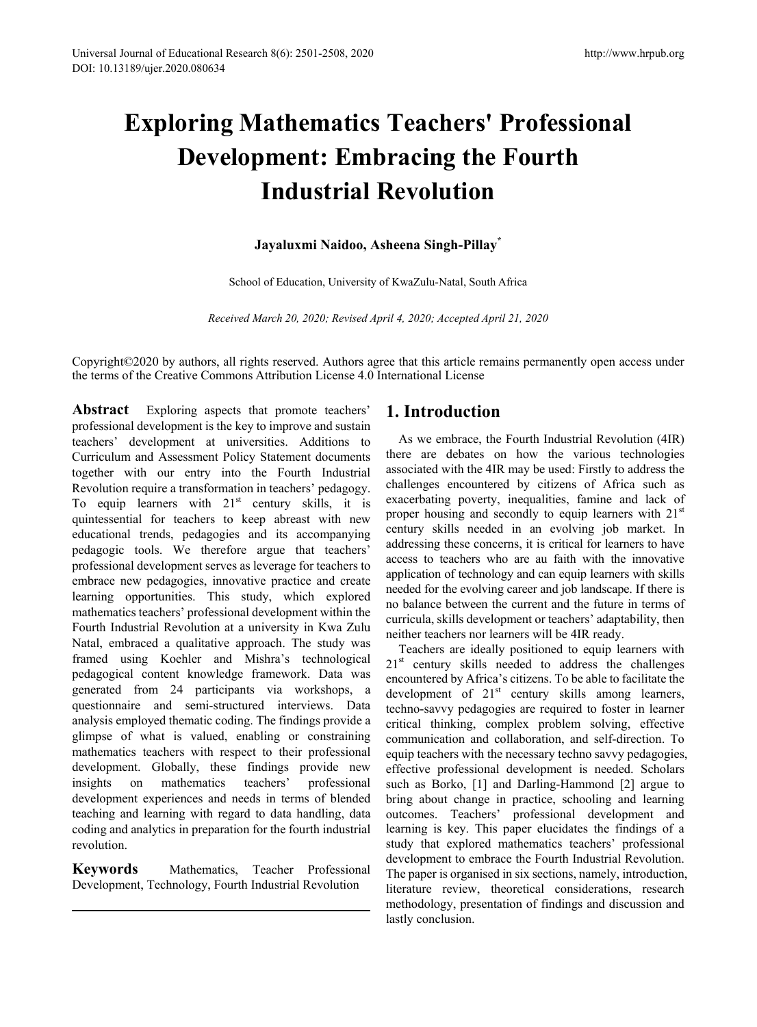# **Exploring Mathematics Teachers' Professional Development: Embracing the Fourth Industrial Revolution**

# **Jayaluxmi Naidoo, Asheena Singh-Pillay\***

School of Education, University of KwaZulu-Natal, South Africa

*Received March 20, 2020; Revised April 4, 2020; Accepted April 21, 2020*

Copyright©2020 by authors, all rights reserved. Authors agree that this article remains permanently open access under the terms of the Creative Commons Attribution License 4.0 International License

**Abstract** Exploring aspects that promote teachers' professional development is the key to improve and sustain teachers' development at universities. Additions to Curriculum and Assessment Policy Statement documents together with our entry into the Fourth Industrial Revolution require a transformation in teachers' pedagogy. To equip learners with  $21<sup>st</sup>$  century skills, it is quintessential for teachers to keep abreast with new educational trends, pedagogies and its accompanying pedagogic tools. We therefore argue that teachers' professional development serves as leverage for teachers to embrace new pedagogies, innovative practice and create learning opportunities. This study, which explored mathematics teachers' professional development within the Fourth Industrial Revolution at a university in Kwa Zulu Natal, embraced a qualitative approach. The study was framed using Koehler and Mishra's technological pedagogical content knowledge framework. Data was generated from 24 participants via workshops, a questionnaire and semi-structured interviews. Data analysis employed thematic coding. The findings provide a glimpse of what is valued, enabling or constraining mathematics teachers with respect to their professional development. Globally, these findings provide new insights on mathematics teachers' professional development experiences and needs in terms of blended teaching and learning with regard to data handling, data coding and analytics in preparation for the fourth industrial revolution.

**Keywords** Mathematics, Teacher Professional Development, Technology, Fourth Industrial Revolution

# **1. Introduction**

As we embrace, the Fourth Industrial Revolution (4IR) there are debates on how the various technologies associated with the 4IR may be used: Firstly to address the challenges encountered by citizens of Africa such as exacerbating poverty, inequalities, famine and lack of proper housing and secondly to equip learners with  $21<sup>st</sup>$ century skills needed in an evolving job market. In addressing these concerns, it is critical for learners to have access to teachers who are au faith with the innovative application of technology and can equip learners with skills needed for the evolving career and job landscape. If there is no balance between the current and the future in terms of curricula, skills development or teachers' adaptability, then neither teachers nor learners will be 4IR ready.

Teachers are ideally positioned to equip learners with  $21<sup>st</sup>$  century skills needed to address the challenges encountered by Africa's citizens. To be able to facilitate the development of  $21<sup>st</sup>$  century skills among learners, techno-savvy pedagogies are required to foster in learner critical thinking, complex problem solving, effective communication and collaboration, and self-direction. To equip teachers with the necessary techno savvy pedagogies, effective professional development is needed. Scholars such as Borko, [1] and Darling-Hammond [2] argue to bring about change in practice, schooling and learning outcomes. Teachers' professional development and learning is key. This paper elucidates the findings of a study that explored mathematics teachers' professional development to embrace the Fourth Industrial Revolution. The paper is organised in six sections, namely, introduction, literature review, theoretical considerations, research methodology, presentation of findings and discussion and lastly conclusion.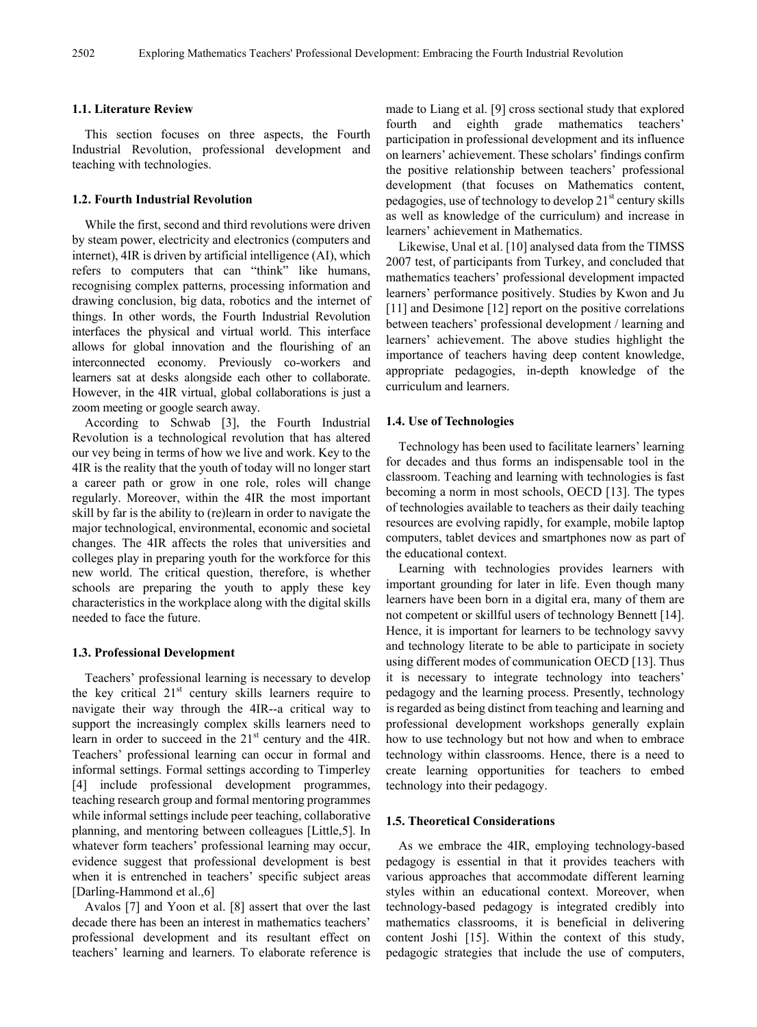#### **1.1. Literature Review**

This section focuses on three aspects, the Fourth Industrial Revolution, professional development and teaching with technologies.

# **1.2. Fourth Industrial Revolution**

While the first, second and third revolutions were driven by steam power, electricity and electronics (computers and internet), 4IR is driven by artificial intelligence (AI), which refers to computers that can "think" like humans, recognising complex patterns, processing information and drawing conclusion, big data, robotics and the internet of things. In other words, the Fourth Industrial Revolution interfaces the physical and virtual world. This interface allows for global innovation and the flourishing of an interconnected economy. Previously co-workers and learners sat at desks alongside each other to collaborate. However, in the 4IR virtual, global collaborations is just a zoom meeting or google search away.

According to Schwab [3], the Fourth Industrial Revolution is a technological revolution that has altered our vey being in terms of how we live and work. Key to the 4IR is the reality that the youth of today will no longer start a career path or grow in one role, roles will change regularly. Moreover, within the 4IR the most important skill by far is the ability to (re)learn in order to navigate the major technological, environmental, economic and societal changes. The 4IR affects the roles that universities and colleges play in preparing youth for the workforce for this new world. The critical question, therefore, is whether schools are preparing the youth to apply these key characteristics in the workplace along with the digital skills needed to face the future.

#### **1.3. Professional Development**

Teachers' professional learning is necessary to develop the key critical  $21<sup>st</sup>$  century skills learners require to navigate their way through the 4IR--a critical way to support the increasingly complex skills learners need to learn in order to succeed in the 21<sup>st</sup> century and the 4IR. Teachers' professional learning can occur in formal and informal settings. Formal settings according to Timperley [4] include professional development programmes, teaching research group and formal mentoring programmes while informal settings include peer teaching, collaborative planning, and mentoring between colleagues [Little,5]. In whatever form teachers' professional learning may occur, evidence suggest that professional development is best when it is entrenched in teachers' specific subject areas [Darling-Hammond et al.,6]

Avalos [7] and Yoon et al. [8] assert that over the last decade there has been an interest in mathematics teachers' professional development and its resultant effect on teachers' learning and learners. To elaborate reference is

made to Liang et al. [9] cross sectional study that explored fourth and eighth grade mathematics teachers' participation in professional development and its influence on learners' achievement. These scholars' findings confirm the positive relationship between teachers' professional development (that focuses on Mathematics content, pedagogies, use of technology to develop  $21<sup>st</sup>$  century skills as well as knowledge of the curriculum) and increase in learners' achievement in Mathematics.

Likewise, Unal et al. [10] analysed data from the TIMSS 2007 test, of participants from Turkey, and concluded that mathematics teachers' professional development impacted learners' performance positively. Studies by Kwon and Ju [11] and Desimone [12] report on the positive correlations between teachers' professional development / learning and learners' achievement. The above studies highlight the importance of teachers having deep content knowledge, appropriate pedagogies, in-depth knowledge of the curriculum and learners.

## **1.4. Use of Technologies**

Technology has been used to facilitate learners' learning for decades and thus forms an indispensable tool in the classroom. Teaching and learning with technologies is fast becoming a norm in most schools, OECD [13]. The types of technologies available to teachers as their daily teaching resources are evolving rapidly, for example, mobile laptop computers, tablet devices and smartphones now as part of the educational context.

Learning with technologies provides learners with important grounding for later in life. Even though many learners have been born in a digital era, many of them are not competent or skillful users of technology Bennett [14]. Hence, it is important for learners to be technology savvy and technology literate to be able to participate in society using different modes of communication OECD [13]. Thus it is necessary to integrate technology into teachers' pedagogy and the learning process. Presently, technology is regarded as being distinct from teaching and learning and professional development workshops generally explain how to use technology but not how and when to embrace technology within classrooms. Hence, there is a need to create learning opportunities for teachers to embed technology into their pedagogy.

#### **1.5. Theoretical Considerations**

As we embrace the 4IR, employing technology-based pedagogy is essential in that it provides teachers with various approaches that accommodate different learning styles within an educational context. Moreover, when technology-based pedagogy is integrated credibly into mathematics classrooms, it is beneficial in delivering content Joshi [15]. Within the context of this study, pedagogic strategies that include the use of computers,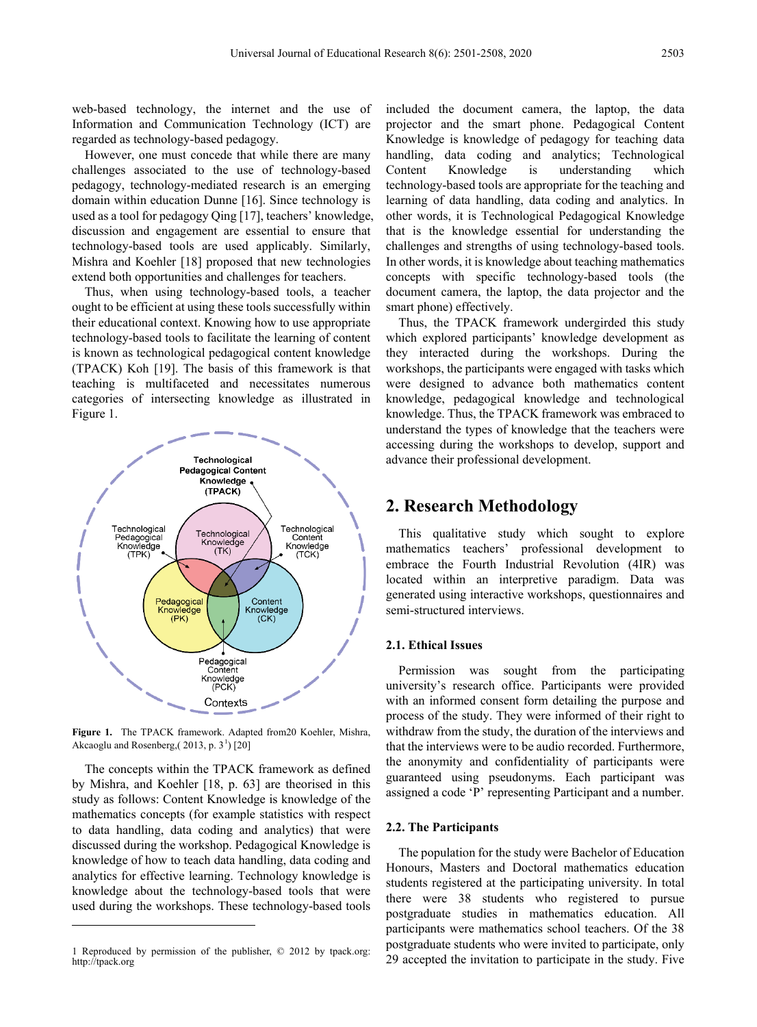web-based technology, the internet and the use of Information and Communication Technology (ICT) are regarded as technology-based pedagogy.

However, one must concede that while there are many challenges associated to the use of technology-based pedagogy, technology-mediated research is an emerging domain within education Dunne [16]. Since technology is used as a tool for pedagogy Qing [17], teachers' knowledge, discussion and engagement are essential to ensure that technology-based tools are used applicably. Similarly, Mishra and Koehler [18] proposed that new technologies extend both opportunities and challenges for teachers.

Thus, when using technology-based tools, a teacher ought to be efficient at using these tools successfully within their educational context. Knowing how to use appropriate technology-based tools to facilitate the learning of content is known as technological pedagogical content knowledge (TPACK) Koh [19]. The basis of this framework is that teaching is multifaceted and necessitates numerous categories of intersecting knowledge as illustrated in Figure 1.



**Figure 1.** The TPACK framework. Adapted from20 Koehler, Mishra, Akcaoglu and Rosenberg, $(2013, p. 3<sup>1</sup>)$  $(2013, p. 3<sup>1</sup>)$  $(2013, p. 3<sup>1</sup>)$  [20]

The concepts within the TPACK framework as defined by Mishra, and Koehler [18, p. 63] are theorised in this study as follows: Content Knowledge is knowledge of the mathematics concepts (for example statistics with respect to data handling, data coding and analytics) that were discussed during the workshop. Pedagogical Knowledge is knowledge of how to teach data handling, data coding and analytics for effective learning. Technology knowledge is knowledge about the technology-based tools that were used during the workshops. These technology-based tools

 $\overline{a}$ 

included the document camera, the laptop, the data projector and the smart phone. Pedagogical Content Knowledge is knowledge of pedagogy for teaching data handling, data coding and analytics; Technological Content Knowledge is understanding which technology-based tools are appropriate for the teaching and learning of data handling, data coding and analytics. In other words, it is Technological Pedagogical Knowledge that is the knowledge essential for understanding the challenges and strengths of using technology-based tools. In other words, it is knowledge about teaching mathematics concepts with specific technology-based tools (the document camera, the laptop, the data projector and the smart phone) effectively.

Thus, the TPACK framework undergirded this study which explored participants' knowledge development as they interacted during the workshops. During the workshops, the participants were engaged with tasks which were designed to advance both mathematics content knowledge, pedagogical knowledge and technological knowledge. Thus, the TPACK framework was embraced to understand the types of knowledge that the teachers were accessing during the workshops to develop, support and advance their professional development.

# **2. Research Methodology**

This qualitative study which sought to explore mathematics teachers' professional development to embrace the Fourth Industrial Revolution (4IR) was located within an interpretive paradigm. Data was generated using interactive workshops, questionnaires and semi-structured interviews.

# **2.1. Ethical Issues**

Permission was sought from the participating university's research office. Participants were provided with an informed consent form detailing the purpose and process of the study. They were informed of their right to withdraw from the study, the duration of the interviews and that the interviews were to be audio recorded. Furthermore, the anonymity and confidentiality of participants were guaranteed using pseudonyms. Each participant was assigned a code 'P' representing Participant and a number.

#### **2.2. The Participants**

The population for the study were Bachelor of Education Honours, Masters and Doctoral mathematics education students registered at the participating university. In total there were 38 students who registered to pursue postgraduate studies in mathematics education. All participants were mathematics school teachers. Of the 38 postgraduate students who were invited to participate, only 29 accepted the invitation to participate in the study. Five

<span id="page-2-0"></span><sup>1</sup> Reproduced by permission of the publisher, © 2012 by tpack.org: http://tpack.org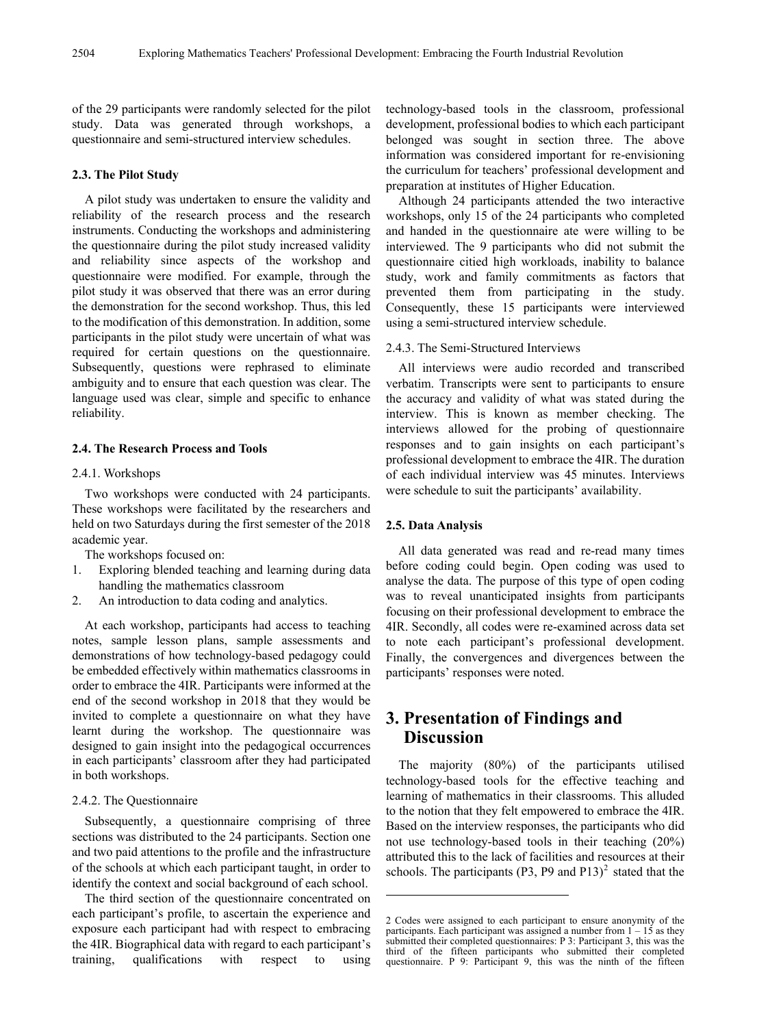of the 29 participants were randomly selected for the pilot study. Data was generated through workshops, a questionnaire and semi-structured interview schedules.

## **2.3. The Pilot Study**

A pilot study was undertaken to ensure the validity and reliability of the research process and the research instruments. Conducting the workshops and administering the questionnaire during the pilot study increased validity and reliability since aspects of the workshop and questionnaire were modified. For example, through the pilot study it was observed that there was an error during the demonstration for the second workshop. Thus, this led to the modification of this demonstration. In addition, some participants in the pilot study were uncertain of what was required for certain questions on the questionnaire. Subsequently, questions were rephrased to eliminate ambiguity and to ensure that each question was clear. The language used was clear, simple and specific to enhance reliability.

#### **2.4. The Research Process and Tools**

#### 2.4.1. Workshops

Two workshops were conducted with 24 participants. These workshops were facilitated by the researchers and held on two Saturdays during the first semester of the 2018 academic year.

The workshops focused on:

- 1. Exploring blended teaching and learning during data handling the mathematics classroom
- 2. An introduction to data coding and analytics.

At each workshop, participants had access to teaching notes, sample lesson plans, sample assessments and demonstrations of how technology-based pedagogy could be embedded effectively within mathematics classrooms in order to embrace the 4IR. Participants were informed at the end of the second workshop in 2018 that they would be invited to complete a questionnaire on what they have learnt during the workshop. The questionnaire was designed to gain insight into the pedagogical occurrences in each participants' classroom after they had participated in both workshops.

#### 2.4.2. The Questionnaire

Subsequently, a questionnaire comprising of three sections was distributed to the 24 participants. Section one and two paid attentions to the profile and the infrastructure of the schools at which each participant taught, in order to identify the context and social background of each school.

<span id="page-3-0"></span>The third section of the questionnaire concentrated on each participant's profile, to ascertain the experience and exposure each participant had with respect to embracing the 4IR. Biographical data with regard to each participant's training, qualifications with respect to using

technology-based tools in the classroom, professional development, professional bodies to which each participant belonged was sought in section three. The above information was considered important for re-envisioning the curriculum for teachers' professional development and preparation at institutes of Higher Education.

Although 24 participants attended the two interactive workshops, only 15 of the 24 participants who completed and handed in the questionnaire ate were willing to be interviewed. The 9 participants who did not submit the questionnaire citied high workloads, inability to balance study, work and family commitments as factors that prevented them from participating in the study. Consequently, these 15 participants were interviewed using a semi-structured interview schedule.

#### 2.4.3. The Semi-Structured Interviews

All interviews were audio recorded and transcribed verbatim. Transcripts were sent to participants to ensure the accuracy and validity of what was stated during the interview. This is known as member checking. The interviews allowed for the probing of questionnaire responses and to gain insights on each participant's professional development to embrace the 4IR. The duration of each individual interview was 45 minutes. Interviews were schedule to suit the participants' availability.

#### **2.5. Data Analysis**

1

All data generated was read and re-read many times before coding could begin. Open coding was used to analyse the data. The purpose of this type of open coding was to reveal unanticipated insights from participants focusing on their professional development to embrace the 4IR. Secondly, all codes were re-examined across data set to note each participant's professional development. Finally, the convergences and divergences between the participants' responses were noted.

# **3. Presentation of Findings and Discussion**

The majority (80%) of the participants utilised technology-based tools for the effective teaching and learning of mathematics in their classrooms. This alluded to the notion that they felt empowered to embrace the 4IR. Based on the interview responses, the participants who did not use technology-based tools in their teaching (20%) attributed this to the lack of facilities and resources at their schools. The participants (P3, P9 and P13)<sup>[2](#page-3-0)</sup> stated that the

<sup>2</sup> Codes were assigned to each participant to ensure anonymity of the participants. Each participant was assigned a number from  $1 - 15$  as they submitted their completed questionnaires: P 3: Participant 3, this was the third of the fifteen participants who submitted their completed questionnaire. P 9: Participant 9, this was the ninth of the fifteen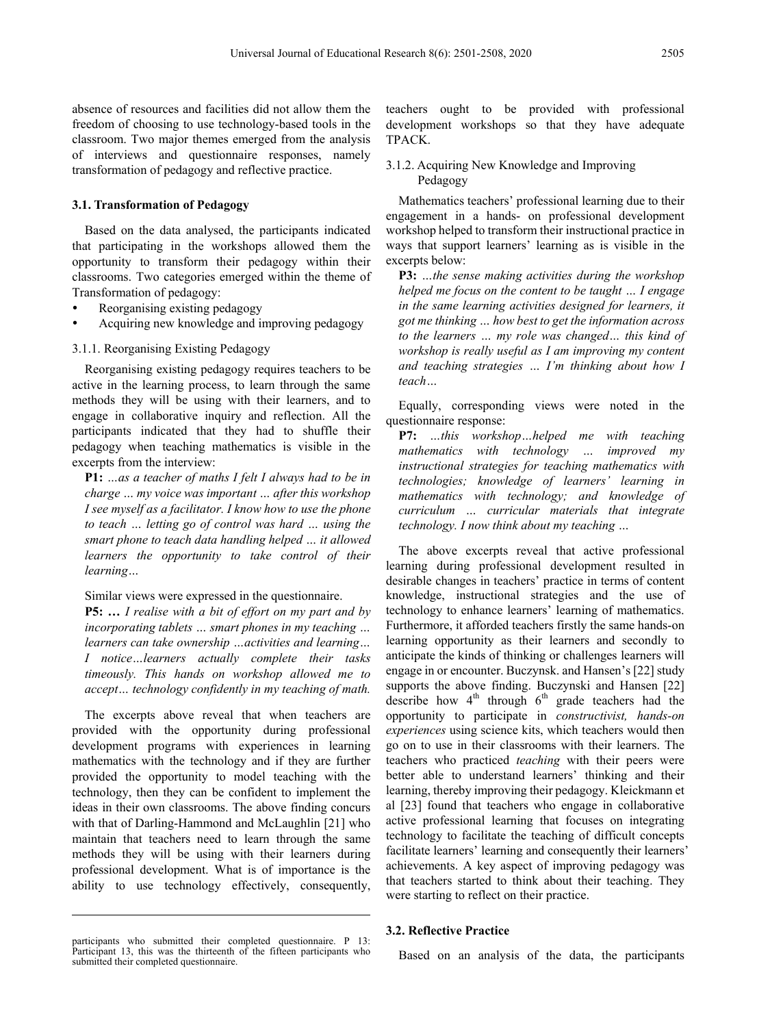absence of resources and facilities did not allow them the freedom of choosing to use technology-based tools in the classroom. Two major themes emerged from the analysis of interviews and questionnaire responses, namely transformation of pedagogy and reflective practice.

## **3.1. Transformation of Pedagogy**

Based on the data analysed, the participants indicated that participating in the workshops allowed them the opportunity to transform their pedagogy within their classrooms. Two categories emerged within the theme of Transformation of pedagogy:

- Reorganising existing pedagogy
- Acquiring new knowledge and improving pedagogy

## 3.1.1. Reorganising Existing Pedagogy

Reorganising existing pedagogy requires teachers to be active in the learning process, to learn through the same methods they will be using with their learners, and to engage in collaborative inquiry and reflection. All the participants indicated that they had to shuffle their pedagogy when teaching mathematics is visible in the excerpts from the interview:

**P1:** *…as a teacher of maths I felt I always had to be in charge … my voice was important … after this workshop I see myself as a facilitator. I know how to use the phone to teach … letting go of control was hard … using the smart phone to teach data handling helped … it allowed learners the opportunity to take control of their learning…*

## Similar views were expressed in the questionnaire.

**P5: …** *I realise with a bit of effort on my part and by incorporating tablets … smart phones in my teaching … learners can take ownership …activities and learning… I notice…learners actually complete their tasks timeously. This hands on workshop allowed me to accept… technology confidently in my teaching of math.* 

The excerpts above reveal that when teachers are provided with the opportunity during professional development programs with experiences in learning mathematics with the technology and if they are further provided the opportunity to model teaching with the technology, then they can be confident to implement the ideas in their own classrooms. The above finding concurs with that of Darling-Hammond and McLaughlin [21] who maintain that teachers need to learn through the same methods they will be using with their learners during professional development. What is of importance is the ability to use technology effectively, consequently,

 $\overline{a}$ 

teachers ought to be provided with professional development workshops so that they have adequate TPACK.

3.1.2. Acquiring New Knowledge and Improving Pedagogy

Mathematics teachers' professional learning due to their engagement in a hands- on professional development workshop helped to transform their instructional practice in ways that support learners' learning as is visible in the excerpts below:

**P3:** *…the sense making activities during the workshop helped me focus on the content to be taught … I engage in the same learning activities designed for learners, it got me thinking … how best to get the information across to the learners … my role was changed… this kind of workshop is really useful as I am improving my content and teaching strategies … I'm thinking about how I teach…*

Equally, corresponding views were noted in the questionnaire response:

**P7:** *…this workshop…helped me with teaching mathematics with technology … improved my instructional strategies for teaching mathematics with technologies; knowledge of learners' learning in mathematics with technology; and knowledge of curriculum … curricular materials that integrate technology. I now think about my teaching …*

The above excerpts reveal that active professional learning during professional development resulted in desirable changes in teachers' practice in terms of content knowledge, instructional strategies and the use of technology to enhance learners' learning of mathematics. Furthermore, it afforded teachers firstly the same hands-on learning opportunity as their learners and secondly to anticipate the kinds of thinking or challenges learners will engage in or encounter. Buczynsk. and Hansen's [22] study supports the above finding. Buczynski and Hansen [22] describe how  $4<sup>th</sup>$  through  $6<sup>th</sup>$  grade teachers had the opportunity to participate in *constructivist, hands-on experiences* using science kits, which teachers would then go on to use in their classrooms with their learners. The teachers who practiced *teaching* with their peers were better able to understand learners' thinking and their learning, thereby improving their pedagogy. Kleickmann et al [23] found that teachers who engage in collaborative active professional learning that focuses on integrating technology to facilitate the teaching of difficult concepts facilitate learners' learning and consequently their learners' achievements. A key aspect of improving pedagogy was that teachers started to think about their teaching. They were starting to reflect on their practice.

## **3.2. Reflective Practice**

Based on an analysis of the data, the participants

participants who submitted their completed questionnaire. P 13: Participant 13, this was the thirteenth of the fifteen participants who submitted their completed questionnaire.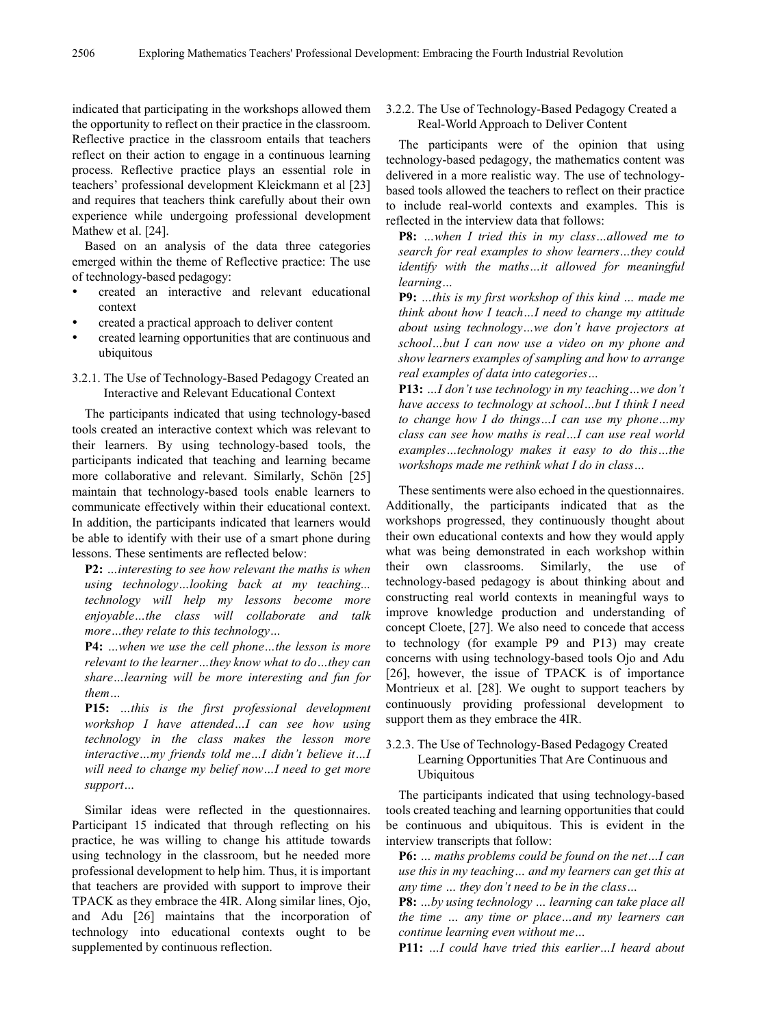indicated that participating in the workshops allowed them the opportunity to reflect on their practice in the classroom. Reflective practice in the classroom entails that teachers reflect on their action to engage in a continuous learning process. Reflective practice plays an essential role in teachers' professional development Kleickmann et al [23] and requires that teachers think carefully about their own experience while undergoing professional development Mathew et al. [24].

Based on an analysis of the data three categories emerged within the theme of Reflective practice: The use of technology-based pedagogy:

- created an interactive and relevant educational context
- created a practical approach to deliver content
- created learning opportunities that are continuous and ubiquitous
- 3.2.1. The Use of Technology-Based Pedagogy Created an Interactive and Relevant Educational Context

The participants indicated that using technology-based tools created an interactive context which was relevant to their learners. By using technology-based tools, the participants indicated that teaching and learning became more collaborative and relevant. Similarly, Schön [25] maintain that technology-based tools enable learners to communicate effectively within their educational context. In addition, the participants indicated that learners would be able to identify with their use of a smart phone during lessons. These sentiments are reflected below:

**P2:** *…interesting to see how relevant the maths is when using technology…looking back at my teaching... technology will help my lessons become more enjoyable…the class will collaborate and talk more…they relate to this technology…*

**P4:** *…when we use the cell phone…the lesson is more relevant to the learner…they know what to do…they can share…learning will be more interesting and fun for them…*

**P15:** *…this is the first professional development workshop I have attended…I can see how using technology in the class makes the lesson more interactive…my friends told me…I didn't believe it…I will need to change my belief now…I need to get more support…*

Similar ideas were reflected in the questionnaires. Participant 15 indicated that through reflecting on his practice, he was willing to change his attitude towards using technology in the classroom, but he needed more professional development to help him. Thus, it is important that teachers are provided with support to improve their TPACK as they embrace the 4IR. Along similar lines, Ojo, and Adu [26] maintains that the incorporation of technology into educational contexts ought to be supplemented by continuous reflection.

3.2.2. The Use of Technology-Based Pedagogy Created a Real-World Approach to Deliver Content

The participants were of the opinion that using technology-based pedagogy, the mathematics content was delivered in a more realistic way. The use of technologybased tools allowed the teachers to reflect on their practice to include real-world contexts and examples. This is reflected in the interview data that follows:

**P8:** *…when I tried this in my class…allowed me to search for real examples to show learners…they could identify with the maths…it allowed for meaningful learning…*

**P9:** *…this is my first workshop of this kind … made me think about how I teach…I need to change my attitude about using technology…we don't have projectors at school…but I can now use a video on my phone and show learners examples of sampling and how to arrange real examples of data into categories…*

**P13:** *…I don't use technology in my teaching…we don't have access to technology at school…but I think I need to change how I do things…I can use my phone…my class can see how maths is real…I can use real world examples…technology makes it easy to do this…the workshops made me rethink what I do in class…*

These sentiments were also echoed in the questionnaires. Additionally, the participants indicated that as the workshops progressed, they continuously thought about their own educational contexts and how they would apply what was being demonstrated in each workshop within their own classrooms. Similarly, the use of technology-based pedagogy is about thinking about and constructing real world contexts in meaningful ways to improve knowledge production and understanding of concept Cloete, [27]. We also need to concede that access to technology (for example P9 and P13) may create concerns with using technology-based tools Ojo and Adu [26], however, the issue of TPACK is of importance Montrieux et al. [28]. We ought to support teachers by continuously providing professional development to support them as they embrace the 4IR.

3.2.3. The Use of Technology-Based Pedagogy Created Learning Opportunities That Are Continuous and Ubiquitous

The participants indicated that using technology-based tools created teaching and learning opportunities that could be continuous and ubiquitous. This is evident in the interview transcripts that follow:

**P6:** *… maths problems could be found on the net…I can use this in my teaching… and my learners can get this at any time … they don't need to be in the class…*

**P8:** *…by using technology … learning can take place all the time … any time or place…and my learners can continue learning even without me…*

**P11:** *…I could have tried this earlier…I heard about*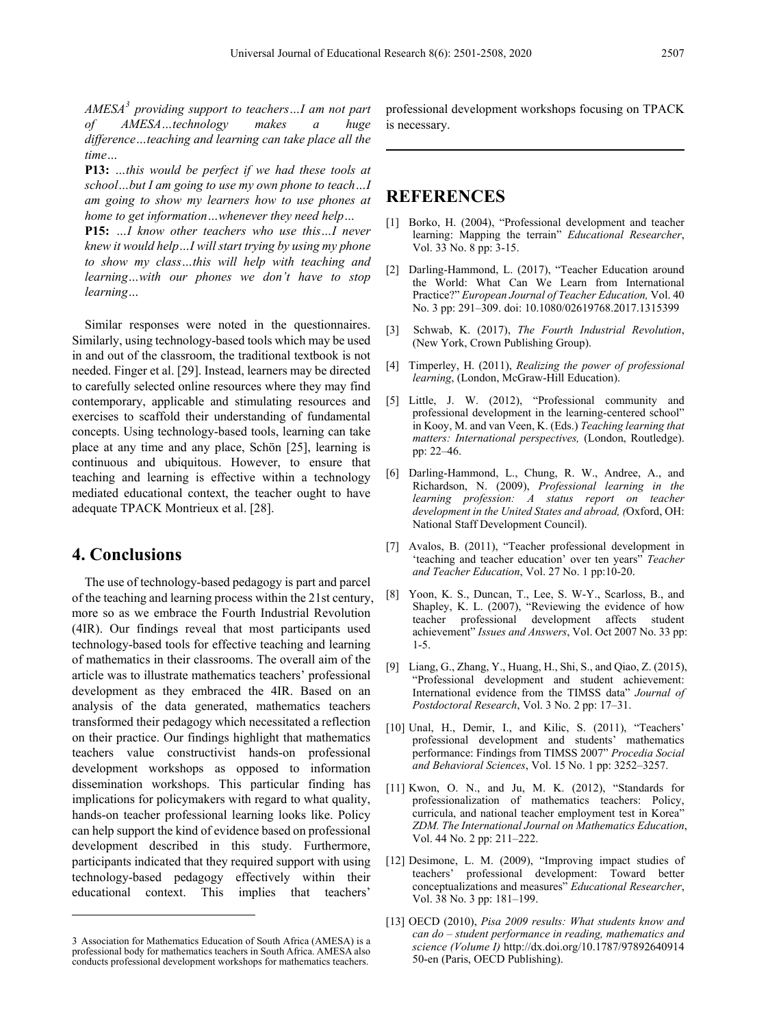*AMESA[3](#page-6-0) providing support to teachers…I am not part of AMESA…technology makes a huge difference…teaching and learning can take place all the time…*

**P13:** *…this would be perfect if we had these tools at school…but I am going to use my own phone to teach…I am going to show my learners how to use phones at home to get information…whenever they need help…*

**P15:** *…I know other teachers who use this…I never knew it would help…I will start trying by using my phone to show my class…this will help with teaching and learning…with our phones we don't have to stop learning…*

Similar responses were noted in the questionnaires. Similarly, using technology-based tools which may be used in and out of the classroom, the traditional textbook is not needed. Finger et al. [29]. Instead, learners may be directed to carefully selected online resources where they may find contemporary, applicable and stimulating resources and exercises to scaffold their understanding of fundamental concepts. Using technology-based tools, learning can take place at any time and any place, Schön [25], learning is continuous and ubiquitous. However, to ensure that teaching and learning is effective within a technology mediated educational context, the teacher ought to have adequate TPACK Montrieux et al. [28].

# **4. Conclusions**

 $\overline{a}$ 

The use of technology-based pedagogy is part and parcel of the teaching and learning process within the 21st century, more so as we embrace the Fourth Industrial Revolution (4IR). Our findings reveal that most participants used technology-based tools for effective teaching and learning of mathematics in their classrooms. The overall aim of the article was to illustrate mathematics teachers' professional development as they embraced the 4IR. Based on an analysis of the data generated, mathematics teachers transformed their pedagogy which necessitated a reflection on their practice. Our findings highlight that mathematics teachers value constructivist hands-on professional development workshops as opposed to information dissemination workshops. This particular finding has implications for policymakers with regard to what quality, hands-on teacher professional learning looks like. Policy can help support the kind of evidence based on professional development described in this study. Furthermore, participants indicated that they required support with using technology-based pedagogy effectively within their educational context. This implies that teachers'

professional development workshops focusing on TPACK is necessary.

# **REFERENCES**

- [1] Borko, H. (2004), "Professional development and teacher learning: Mapping the terrain" *Educational Researcher*, Vol. 33 No. 8 pp: 3-15.
- [2] Darling-Hammond, L. (2017), "Teacher Education around the World: What Can We Learn from International Practice?" *European Journal of Teacher Education,* Vol. 40 No. 3 pp: 291–309. doi: 10.1080/02619768.2017.1315399
- [3] Schwab, K. (2017), *The Fourth Industrial Revolution*, (New York, Crown Publishing Group).
- [4] Timperley, H. (2011), *Realizing the power of professional learning*, (London, McGraw-Hill Education).
- [5] Little, J. W. (2012), "Professional community and professional development in the learning-centered school" in Kooy, M. and van Veen, K. (Eds.) *Teaching learning that matters: International perspectives,* (London, Routledge). pp: 22–46.
- [6] Darling-Hammond, L., Chung, R. W., Andree, A., and Richardson, N. (2009), *Professional learning in the learning profession: A status report on teacher development in the United States and abroad, (*Oxford, OH: National Staff Development Council).
- [7] Avalos, B. (2011), "Teacher professional development in 'teaching and teacher education' over ten years" *Teacher and Teacher Education*, Vol. 27 No. 1 pp:10-20.
- [8] Yoon, K. S., Duncan, T., Lee, S. W-Y., Scarloss, B., and Shapley, K. L. (2007), "Reviewing the evidence of how teacher professional development affects student achievement" *Issues and Answers*, Vol. Oct 2007 No. 33 pp: 1-5.
- Liang, G., Zhang, Y., Huang, H., Shi, S., and Qiao, Z. (2015), "Professional development and student achievement: International evidence from the TIMSS data" *Journal of Postdoctoral Research*, Vol. 3 No. 2 pp: 17–31.
- [10] Unal, H., Demir, I., and Kilic, S. (2011), "Teachers' professional development and students' mathematics performance: Findings from TIMSS 2007" *Procedia Social and Behavioral Sciences*, Vol. 15 No. 1 pp: 3252–3257.
- [11] Kwon, O. N., and Ju, M. K. (2012), "Standards for professionalization of mathematics teachers: Policy, curricula, and national teacher employment test in Korea" *ZDM. The International Journal on Mathematics Education*, Vol. 44 No. 2 pp: 211–222.
- [12] Desimone, L. M. (2009), "Improving impact studies of teachers' professional development: Toward better conceptualizations and measures" *Educational Researcher*, Vol. 38 No. 3 pp: 181–199.
- [13] OECD (2010), *Pisa 2009 results: What students know and can do – student performance in reading, mathematics and science (Volume I)* http://dx.doi.org/10.1787/97892640914 50-en (Paris, OECD Publishing).

<span id="page-6-0"></span><sup>3</sup> Association for Mathematics Education of South Africa (AMESA) is a professional body for mathematics teachers in South Africa. AMESA also conducts professional development workshops for mathematics teachers.